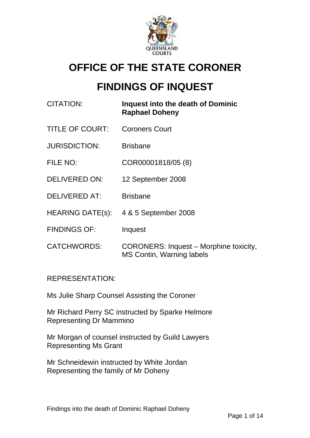

# **OFFICE OF THE STATE CORONER**

# **FINDINGS OF INQUEST**

| CITATION:               | Inquest into the death of Dominic<br><b>Raphael Doheny</b>                 |
|-------------------------|----------------------------------------------------------------------------|
| <b>TITLE OF COURT:</b>  | <b>Coroners Court</b>                                                      |
| <b>JURISDICTION:</b>    | <b>Brisbane</b>                                                            |
| FILE NO:                | COR00001818/05 (8)                                                         |
| <b>DELIVERED ON:</b>    | 12 September 2008                                                          |
| <b>DELIVERED AT:</b>    | <b>Brisbane</b>                                                            |
| <b>HEARING DATE(s):</b> | 4 & 5 September 2008                                                       |
| <b>FINDINGS OF:</b>     | Inquest                                                                    |
| <b>CATCHWORDS:</b>      | <b>CORONERS: Inquest - Morphine toxicity,</b><br>MS Contin, Warning labels |

# REPRESENTATION:

Ms Julie Sharp Counsel Assisting the Coroner

Mr Richard Perry SC instructed by Sparke Helmore Representing Dr Mammino

Mr Morgan of counsel instructed by Guild Lawyers Representing Ms Grant

Mr Schneidewin instructed by White Jordan Representing the family of Mr Doheny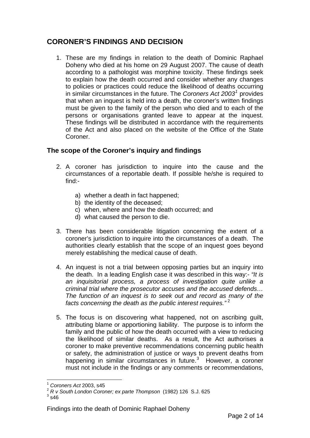# **CORONER'S FINDINGS AND DECISION**

1. These are my findings in relation to the death of Dominic Raphael Doheny who died at his home on 29 August 2007. The cause of death according to a pathologist was morphine toxicity. These findings seek to explain how the death occurred and consider whether any changes to policies or practices could reduce the likelihood of deaths occurring in similar circumstances in the future. The *Coroners Act 2003<sup>[1](#page-1-0)</sup>* provides that when an inquest is held into a death, the coroner's written findings must be given to the family of the person who died and to each of the persons or organisations granted leave to appear at the inquest. These findings will be distributed in accordance with the requirements of the Act and also placed on the website of the Office of the State Coroner.

## **The scope of the Coroner's inquiry and findings**

- 2. A coroner has jurisdiction to inquire into the cause and the circumstances of a reportable death. If possible he/she is required to find:
	- a) whether a death in fact happened;
	- b) the identity of the deceased;
	- c) when, where and how the death occurred; and
	- d) what caused the person to die.
- 3. There has been considerable litigation concerning the extent of a coroner's jurisdiction to inquire into the circumstances of a death. The authorities clearly establish that the scope of an inquest goes beyond merely establishing the medical cause of death.
- 4. An inquest is not a trial between opposing parties but an inquiry into the death. In a leading English case it was described in this way:- *"It is an inquisitorial process, a process of investigation quite unlike a criminal trial where the prosecutor accuses and the accused defends… The function of an inquest is to seek out and record as many of the facts concerning the death as the public interest requires.*"<sup>[2](#page-1-1)</sup>
- 5. The focus is on discovering what happened, not on ascribing guilt, attributing blame or apportioning liability. The purpose is to inform the family and the public of how the death occurred with a view to reducing the likelihood of similar deaths. As a result, the Act authorises a coroner to make preventive recommendations concerning public health or safety, the administration of justice or ways to prevent deaths from happening in similar circumstances in future.<sup>[3](#page-1-2)</sup> However, a coroner must not include in the findings or any comments or recommendations,

 $\overline{a}$ <sup>1</sup> *Coroners Act* 2003, s45

<sup>2</sup> *R v South London Coroner; ex parte Thompson* (1982) 126 S.J. 625 <sup>3</sup>

<span id="page-1-2"></span><span id="page-1-1"></span><span id="page-1-0"></span> $3\overline{\smash{\cdot}}$ s46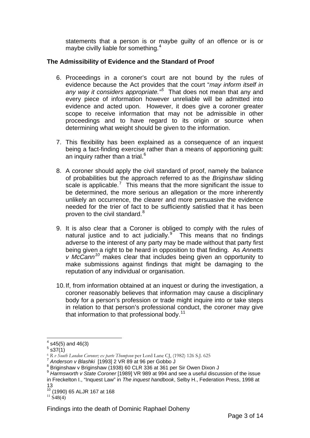statements that a person is or maybe guilty of an offence or is or maybe civilly liable for something.[4](#page-2-0)

#### **The Admissibility of Evidence and the Standard of Proof**

- 6. Proceedings in a coroner's court are not bound by the rules of evidence because the Act provides that the court "*may inform itself in*  any way it considers appropriate.<sup>"[5](#page-2-1)</sup> That does not mean that any and every piece of information however unreliable will be admitted into evidence and acted upon. However, it does give a coroner greater scope to receive information that may not be admissible in other proceedings and to have regard to its origin or source when determining what weight should be given to the information.
- 7. This flexibility has been explained as a consequence of an inquest being a fact-finding exercise rather than a means of apportioning guilt: an inquiry rather than a trial. $^6$  $^6$
- 8. A coroner should apply the civil standard of proof, namely the balance of probabilities but the approach referred to as the *Briginshaw* sliding scale is applicable.<sup>[7](#page-2-3)</sup> This means that the more significant the issue to be determined, the more serious an allegation or the more inherently unlikely an occurrence, the clearer and more persuasive the evidence needed for the trier of fact to be sufficiently satisfied that it has been proven to the civil standard.<sup>[8](#page-2-4)</sup>
- 9. It is also clear that a Coroner is obliged to comply with the rules of natural justice and to act judicially. $\frac{9}{10}$  $\frac{9}{10}$  $\frac{9}{10}$  This means that no findings adverse to the interest of any party may be made without that party first being given a right to be heard in opposition to that finding. As *Annetts v McCann[10](#page-2-6)* makes clear that includes being given an opportunity to make submissions against findings that might be damaging to the reputation of any individual or organisation.
- 10. If, from information obtained at an inquest or during the investigation, a coroner reasonably believes that information may cause a disciplinary body for a person's profession or trade might inquire into or take steps in relation to that person's professional conduct, the coroner may give that information to that professional body.<sup>[11](#page-2-7)</sup>

 $\overline{a}$ 

<span id="page-2-0"></span> $4$  s45(5) and 46(3)

 $5$  s37 $(1)$ 

<span id="page-2-2"></span><span id="page-2-1"></span><sup>6</sup> *R v South London Coroner; ex parte Thompson* per Lord Lane CJ, (1982) 126 S.J. 625 <sup>7</sup> *Anderson v Blashki* [1993] 2 VR 89 at 96 per Gobbo J 8

<span id="page-2-4"></span><span id="page-2-3"></span><sup>8</sup> Princesson 1 Engels 1999 (1938) 60 CLR 336 at 361 per Sir Owen Dixon J

<span id="page-2-5"></span><sup>9</sup> *Harmsworth v State Coroner* [1989] VR 989 at 994 and see a useful discussion of the issue in Freckelton I., "Inquest Law" in *The inquest handbook*, Selby H., Federation Press, 1998 at 13

<span id="page-2-6"></span> $\frac{10}{11}$  (1990) 65 ALJR 167 at 168<br> $\frac{11}{11}$  S48(4)

<span id="page-2-7"></span>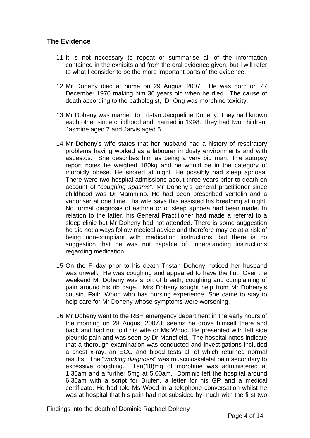## **The Evidence**

- 11. It is not necessary to repeat or summarise all of the information contained in the exhibits and from the oral evidence given, but I will refer to what I consider to be the more important parts of the evidence.
- 12. Mr Doheny died at home on 29 August 2007. He was born on 27 December 1970 making him 36 years old when he died. The cause of death according to the pathologist, Dr Ong was morphine toxicity.
- 13. Mr Doheny was married to Tristan Jacqueline Doheny. They had known each other since childhood and married in 1998. They had two children, Jasmine aged 7 and Jarvis aged 5.
- 14. Mr Doheny's wife states that her husband had a history of respiratory problems having worked as a labourer in dusty environments and with asbestos. She describes him as being a very big man. The autopsy report notes he weighed 180kg and he would be in the category of morbidly obese. He snored at night. He possibly had sleep apnoea. There were two hospital admissions about three years prior to death on account of "*coughing spasms*". Mr Doheny's general practitioner since childhood was Dr Mammino. He had been prescribed ventolin and a vaporiser at one time. His wife says this assisted his breathing at night. No formal diagnosis of asthma or of sleep apnoea had been made. In relation to the latter, his General Practitioner had made a referral to a sleep clinic but Mr Doheny had not attended. There is some suggestion he did not always follow medical advice and therefore may be at a risk of being non-compliant with medication instructions, but there is no suggestion that he was not capable of understanding instructions regarding medication.
- 15. On the Friday prior to his death Tristan Doheny noticed her husband was unwell. He was coughing and appeared to have the flu. Over the weekend Mr Doheny was short of breath, coughing and complaining of pain around his rib cage. Mrs Doheny sought help from Mr Doheny's cousin, Faith Wood who has nursing experience. She came to stay to help care for Mr Doheny whose symptoms were worsening.
- 16. Mr Doheny went to the RBH emergency department in the early hours of the morning on 28 August 2007.It seems he drove himself there and back and had not told his wife or Ms Wood. He presented with left side pleuritic pain and was seen by Dr Mansfield. The hospital notes indicate that a thorough examination was conducted and investigations included a chest x-ray, an ECG and blood tests all of which returned normal results. The "*working diagnosis*" was musculoskeletal pain secondary to excessive coughing. Ten(10)mg of morphine was administered at 1.30am and a further 5mg at 5.00am. Dominic left the hospital around 6.30am with a script for Brufen, a letter for his GP and a medical certificate. He had told Ms Wood in a telephone conversation whilst he was at hospital that his pain had not subsided by much with the first two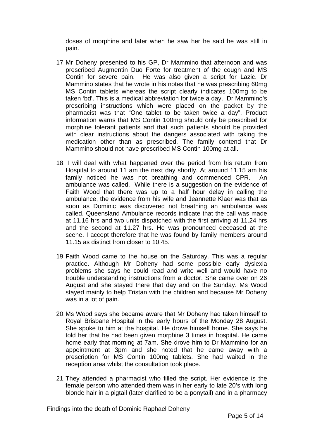doses of morphine and later when he saw her he said he was still in pain.

- 17. Mr Doheny presented to his GP, Dr Mammino that afternoon and was prescribed Augmentin Duo Forte for treatment of the cough and MS Contin for severe pain. He was also given a script for Lazic. Dr Mammino states that he wrote in his notes that he was prescribing 60mg MS Contin tablets whereas the script clearly indicates 100mg to be taken 'bd'. This is a medical abbreviation for twice a day. Dr Mammino's prescribing instructions which were placed on the packet by the pharmacist was that "One tablet to be taken twice a day". Product information warns that MS Contin 100mg should only be prescribed for morphine tolerant patients and that such patients should be provided with clear instructions about the dangers associated with taking the medication other than as prescribed. The family contend that Dr Mammino should not have prescribed MS Contin 100mg at all.
- 18. I will deal with what happened over the period from his return from Hospital to around 11 am the next day shortly. At around 11.15 am his family noticed he was not breathing and commenced CPR. An ambulance was called. While there is a suggestion on the evidence of Faith Wood that there was up to a half hour delay in calling the ambulance, the evidence from his wife and Jeannette Klaer was that as soon as Dominic was discovered not breathing an ambulance was called. Queensland Ambulance records indicate that the call was made at 11.16 hrs and two units dispatched with the first arriving at 11.24 hrs and the second at 11.27 hrs. He was pronounced deceased at the scene. I accept therefore that he was found by family members around 11.15 as distinct from closer to 10.45.
- 19. Faith Wood came to the house on the Saturday. This was a regular practice. Although Mr Doheny had some possible early dyslexia problems she says he could read and write well and would have no trouble understanding instructions from a doctor. She came over on 26 August and she stayed there that day and on the Sunday. Ms Wood stayed mainly to help Tristan with the children and because Mr Doheny was in a lot of pain.
- 20. Ms Wood says she became aware that Mr Doheny had taken himself to Royal Brisbane Hospital in the early hours of the Monday 28 August. She spoke to him at the hospital. He drove himself home. She says he told her that he had been given morphine 3 times in hospital. He came home early that morning at 7am. She drove him to Dr Mammino for an appointment at 3pm and she noted that he came away with a prescription for MS Contin 100mg tablets. She had waited in the reception area whilst the consultation took place.
- 21. They attended a pharmacist who filled the script. Her evidence is the female person who attended them was in her early to late 20's with long blonde hair in a pigtail (later clarified to be a ponytail) and in a pharmacy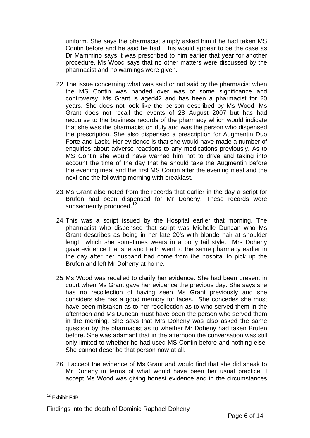uniform. She says the pharmacist simply asked him if he had taken MS Contin before and he said he had. This would appear to be the case as Dr Mammino says it was prescribed to him earlier that year for another procedure. Ms Wood says that no other matters were discussed by the pharmacist and no warnings were given.

- 22. The issue concerning what was said or not said by the pharmacist when the MS Contin was handed over was of some significance and controversy. Ms Grant is aged42 and has been a pharmacist for 20 years. She does not look like the person described by Ms Wood. Ms Grant does not recall the events of 28 August 2007 but has had recourse to the business records of the pharmacy which would indicate that she was the pharmacist on duty and was the person who dispensed the prescription. She also dispensed a prescription for Augmentin Duo Forte and Lasix. Her evidence is that she would have made a number of enquiries about adverse reactions to any medications previously. As to MS Contin she would have warned him not to drive and taking into account the time of the day that he should take the Augmentin before the evening meal and the first MS Contin after the evening meal and the next one the following morning with breakfast.
- 23. Ms Grant also noted from the records that earlier in the day a script for Brufen had been dispensed for Mr Doheny. These records were subsequently produced.<sup>[12](#page-5-0)</sup>
- 24. This was a script issued by the Hospital earlier that morning. The pharmacist who dispensed that script was Michelle Duncan who Ms Grant describes as being in her late 20's with blonde hair at shoulder length which she sometimes wears in a pony tail style. Mrs Doheny gave evidence that she and Faith went to the same pharmacy earlier in the day after her husband had come from the hospital to pick up the Brufen and left Mr Doheny at home.
- 25. Ms Wood was recalled to clarify her evidence. She had been present in court when Ms Grant gave her evidence the previous day. She says she has no recollection of having seen Ms Grant previously and she considers she has a good memory for faces. She concedes she must have been mistaken as to her recollection as to who served them in the afternoon and Ms Duncan must have been the person who served them in the morning. She says that Mrs Doheny was also asked the same question by the pharmacist as to whether Mr Doheny had taken Brufen before. She was adamant that in the afternoon the conversation was still only limited to whether he had used MS Contin before and nothing else. She cannot describe that person now at all.
- 26. I accept the evidence of Ms Grant and would find that she did speak to Mr Doheny in terms of what would have been her usual practice. I accept Ms Wood was giving honest evidence and in the circumstances

<span id="page-5-0"></span> $\overline{a}$ <sup>12</sup> Exhibit F4B

Findings into the death of Dominic Raphael Doheny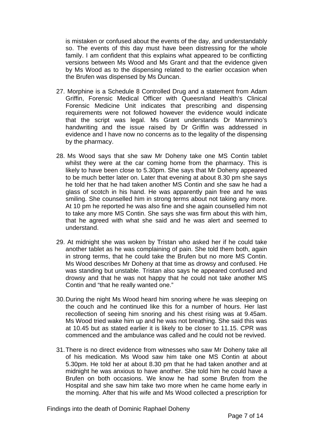is mistaken or confused about the events of the day, and understandably so. The events of this day must have been distressing for the whole family. I am confident that this explains what appeared to be conflicting versions between Ms Wood and Ms Grant and that the evidence given by Ms Wood as to the dispensing related to the earlier occasion when the Brufen was dispensed by Ms Duncan.

- 27. Morphine is a Schedule 8 Controlled Drug and a statement from Adam Griffin, Forensic Medical Officer with Queesnland Health's Clinical Forensic Medicine Unit indicates that prescribing and dispensing requirements were not followed however the evidence would indicate that the script was legal. Ms Grant understands Dr Mammino's handwriting and the issue raised by Dr Griffin was addressed in evidence and I have now no concerns as to the legality of the dispensing by the pharmacy.
- 28. Ms Wood says that she saw Mr Doheny take one MS Contin tablet whilst they were at the car coming home from the pharmacy. This is likely to have been close to 5.30pm. She says that Mr Doheny appeared to be much better later on. Later that evening at about 8.30 pm she says he told her that he had taken another MS Contin and she saw he had a glass of scotch in his hand. He was apparently pain free and he was smiling. She counselled him in strong terms about not taking any more. At 10 pm he reported he was also fine and she again counselled him not to take any more MS Contin. She says she was firm about this with him, that he agreed with what she said and he was alert and seemed to understand.
- 29. At midnight she was woken by Tristan who asked her if he could take another tablet as he was complaining of pain. She told them both, again in strong terms, that he could take the Brufen but no more MS Contin. Ms Wood describes Mr Doheny at that time as drowsy and confused. He was standing but unstable. Tristan also says he appeared confused and drowsy and that he was not happy that he could not take another MS Contin and "that he really wanted one."
- 30. During the night Ms Wood heard him snoring where he was sleeping on the couch and he continued like this for a number of hours. Her last recollection of seeing him snoring and his chest rising was at 9.45am. Ms Wood tried wake him up and he was not breathing. She said this was at 10.45 but as stated earlier it is likely to be closer to 11.15. CPR was commenced and the ambulance was called and he could not be revived.
- 31. There is no direct evidence from witnesses who saw Mr Doheny take all of his medication. Ms Wood saw him take one MS Contin at about 5.30pm. He told her at about 8.30 pm that he had taken another and at midnight he was anxious to have another. She told him he could have a Brufen on both occasions. We know he had some Brufen from the Hospital and she saw him take two more when he came home early in the morning. After that his wife and Ms Wood collected a prescription for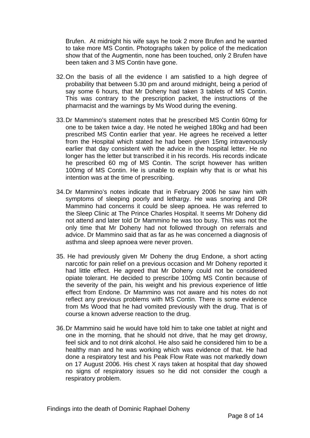Brufen. At midnight his wife says he took 2 more Brufen and he wanted to take more MS Contin. Photographs taken by police of the medication show that of the Augmentin, none has been touched, only 2 Brufen have been taken and 3 MS Contin have gone.

- 32. On the basis of all the evidence I am satisfied to a high degree of probability that between 5.30 pm and around midnight, being a period of say some 6 hours, that Mr Doheny had taken 3 tablets of MS Contin. This was contrary to the prescription packet, the instructions of the pharmacist and the warnings by Ms Wood during the evening.
- 33. Dr Mammino's statement notes that he prescribed MS Contin 60mg for one to be taken twice a day. He noted he weighed 180kg and had been prescribed MS Contin earlier that year. He agrees he received a letter from the Hospital which stated he had been given 15mg intravenously earlier that day consistent with the advice in the hospital letter. He no longer has the letter but transcribed it in his records. His records indicate he prescribed 60 mg of MS Contin. The script however has written 100mg of MS Contin. He is unable to explain why that is or what his intention was at the time of prescribing.
- 34. Dr Mammino's notes indicate that in February 2006 he saw him with symptoms of sleeping poorly and lethargy. He was snoring and DR Mammino had concerns it could be sleep apnoea. He was referred to the Sleep Clinic at The Prince Charles Hospital. It seems Mr Doheny did not attend and later told Dr Mammino he was too busy. This was not the only time that Mr Doheny had not followed through on referrals and advice. Dr Mammino said that as far as he was concerned a diagnosis of asthma and sleep apnoea were never proven.
- 35. He had previously given Mr Doheny the drug Endone, a short acting narcotic for pain relief on a previous occasion and Mr Doheny reported it had little effect. He agreed that Mr Doheny could not be considered opiate tolerant. He decided to prescribe 100mg MS Contin because of the severity of the pain, his weight and his previous experience of little effect from Endone. Dr Mammino was not aware and his notes do not reflect any previous problems with MS Contin. There is some evidence from Ms Wood that he had vomited previously with the drug. That is of course a known adverse reaction to the drug.
- 36. Dr Mammino said he would have told him to take one tablet at night and one in the morning, that he should not drive, that he may get drowsy, feel sick and to not drink alcohol. He also said he considered him to be a healthy man and he was working which was evidence of that. He had done a respiratory test and his Peak Flow Rate was not markedly down on 17 August 2006. His chest X rays taken at hospital that day showed no signs of respiratory issues so he did not consider the cough a respiratory problem.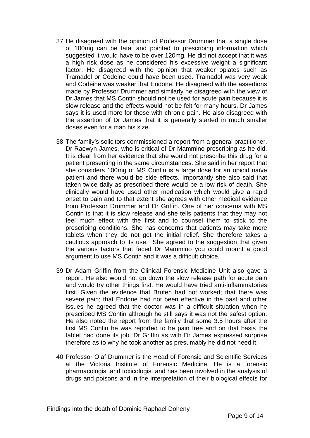- 37. He disagreed with the opinion of Professor Drummer that a single dose of 100mg can be fatal and pointed to prescribing information which suggested it would have to be over 120mg. He did not accept that it was a high risk dose as he considered his excessive weight a significant factor. He disagreed with the opinion that weaker opiates such as Tramadol or Codeine could have been used. Tramadol was very weak and Codeine was weaker that Endone. He disagreed with the assertions made by Professor Drummer and similarly he disagreed with the view of Dr James that MS Contin should not be used for acute pain because it is slow release and the effects would not be felt for many hours. Dr James says it is used more for those with chronic pain. He also disagreed with the assertion of Dr James that it is generally started in much smaller doses even for a man his size.
- 38. The family's solicitors commissioned a report from a general practitioner, Dr Raewyn James, who is critical of Dr Mammino prescribing as he did. It is clear from her evidence that she would not prescribe this drug for a patient presenting in the same circumstances. She said in her report that she considers 100mg of MS Contin is a large dose for an opioid naïve patient and there would be side effects. Importantly she also said that taken twice daily as prescribed there would be a low risk of death. She clinically would have used other medication which would give a rapid onset to pain and to that extent she agrees with other medical evidence from Professor Drummer and Dr Griffin. One of her concerns with MS Contin is that it is slow release and she tells patients that they may not feel much effect with the first and to counsel them to stick to the prescribing conditions. She has concerns that patients may take more tablets when they do not get the initial relief. She therefore takes a cautious approach to its use. She agreed to the suggestion that given the various factors that faced Dr Mammino you could mount a good argument to use MS Contin and it was a difficult choice.
- 39. Dr Adam Griffin from the Clinical Forensic Medicine Unit also gave a report. He also would not go down the slow release path for acute pain and would try other things first. He would have tried anti-inflammatories first. Given the evidence that Brufen had not worked; that there was severe pain; that Endone had not been effective in the past and other issues he agreed that the doctor was in a difficult situation when he prescribed MS Contin although he still says it was not the safest option. He also noted the report from the family that some 3.5 hours after the first MS Contin he was reported to be pain free and on that basis the tablet had done its job. Dr Griffin as with Dr James expressed surprise therefore as to why he took another as presumably he did not need it.
- 40. Professor Olaf Drummer is the Head of Forensic and Scientific Services at the Victoria Institute of Forensic Medicine. He is a forensic pharmacologist and toxicologist and has been involved in the analysis of drugs and poisons and in the interpretation of their biological effects for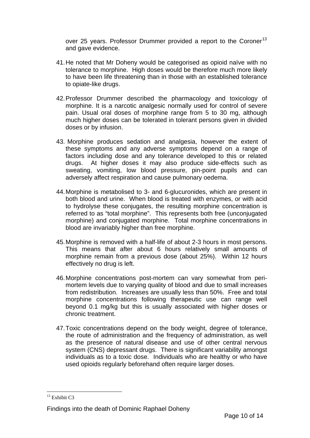over 25 years. Professor Drummer provided a report to the Coroner<sup>[13](#page-9-0)</sup> and gave evidence.

- 41. He noted that Mr Doheny would be categorised as opioid naïve with no tolerance to morphine. High doses would be therefore much more likely to have been life threatening than in those with an established tolerance to opiate-like drugs.
- 42. Professor Drummer described the pharmacology and toxicology of morphine. It is a narcotic analgesic normally used for control of severe pain. Usual oral doses of morphine range from 5 to 30 mg, although much higher doses can be tolerated in tolerant persons given in divided doses or by infusion.
- 43. Morphine produces sedation and analgesia, however the extent of these symptoms and any adverse symptoms depend on a range of factors including dose and any tolerance developed to this or related drugs. At higher doses it may also produce side-effects such as sweating, vomiting, low blood pressure, pin-point pupils and can adversely affect respiration and cause pulmonary oedema.
- 44. Morphine is metabolised to 3- and 6-glucuronides, which are present in both blood and urine. When blood is treated with enzymes, or with acid to hydrolyse these conjugates, the resulting morphine concentration is referred to as "total morphine". This represents both free (unconjugated morphine) and conjugated morphine. Total morphine concentrations in blood are invariably higher than free morphine.
- 45. Morphine is removed with a half-life of about 2-3 hours in most persons. This means that after about 6 hours relatively small amounts of morphine remain from a previous dose (about 25%). Within 12 hours effectively no drug is left.
- 46. Morphine concentrations post-mortem can vary somewhat from perimortem levels due to varying quality of blood and due to small increases from redistribution. Increases are usually less than 50%. Free and total morphine concentrations following therapeutic use can range well beyond 0.1 mg/kg but this is usually associated with higher doses or chronic treatment.
- 47. Toxic concentrations depend on the body weight, degree of tolerance, the route of administration and the frequency of administration, as well as the presence of natural disease and use of other central nervous system (CNS) depressant drugs. There is significant variability amongst individuals as to a toxic dose. Individuals who are healthy or who have used opioids regularly beforehand often require larger doses.

 $\overline{a}$ 

<span id="page-9-0"></span> $13$  Exhibit C3

Findings into the death of Dominic Raphael Doheny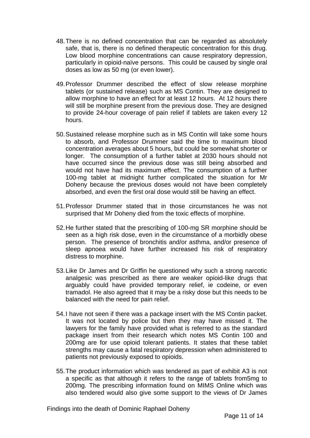- 48. There is no defined concentration that can be regarded as absolutely safe, that is, there is no defined therapeutic concentration for this drug. Low blood morphine concentrations can cause respiratory depression, particularly in opioid-naïve persons. This could be caused by single oral doses as low as 50 mg (or even lower).
- 49. Professor Drummer described the effect of slow release morphine tablets (or sustained release) such as MS Contin. They are designed to allow morphine to have an effect for at least 12 hours. At 12 hours there will still be morphine present from the previous dose. They are designed to provide 24-hour coverage of pain relief if tablets are taken every 12 hours.
- 50. Sustained release morphine such as in MS Contin will take some hours to absorb, and Professor Drummer said the time to maximum blood concentration averages about 5 hours, but could be somewhat shorter or longer. The consumption of a further tablet at 2030 hours should not have occurred since the previous dose was still being absorbed and would not have had its maximum effect. The consumption of a further 100-mg tablet at midnight further complicated the situation for Mr Doheny because the previous doses would not have been completely absorbed, and even the first oral dose would still be having an effect.
- 51. Professor Drummer stated that in those circumstances he was not surprised that Mr Doheny died from the toxic effects of morphine.
- 52. He further stated that the prescribing of 100-mg SR morphine should be seen as a high risk dose, even in the circumstance of a morbidly obese person. The presence of bronchitis and/or asthma, and/or presence of sleep apnoea would have further increased his risk of respiratory distress to morphine.
- 53. Like Dr James and Dr Griffin he questioned why such a strong narcotic analgesic was prescribed as there are weaker opioid-like drugs that arguably could have provided temporary relief, ie codeine, or even tramadol. He also agreed that it may be a risky dose but this needs to be balanced with the need for pain relief.
- 54. I have not seen if there was a package insert with the MS Contin packet. It was not located by police but then they may have missed it. The lawyers for the family have provided what is referred to as the standard package insert from their research which notes MS Contin 100 and 200mg are for use opioid tolerant patients. It states that these tablet strengths may cause a fatal respiratory depression when administered to patients not previously exposed to opioids.
- 55. The product information which was tendered as part of exhibit A3 is not a specific as that although it refers to the range of tablets from5mg to 200mg. The prescribing information found on MIMS Online which was also tendered would also give some support to the views of Dr James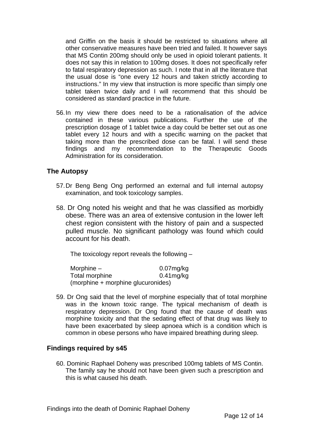and Griffin on the basis it should be restricted to situations where all other conservative measures have been tried and failed. It however says that MS Contin 200mg should only be used in opioid tolerant patients. It does not say this in relation to 100mg doses. It does not specifically refer to fatal respiratory depression as such. I note that in all the literature that the usual dose is "one every 12 hours and taken strictly according to instructions." In my view that instruction is more specific than simply one tablet taken twice daily and I will recommend that this should be considered as standard practice in the future.

56. In my view there does need to be a rationalisation of the advice contained in these various publications. Further the use of the prescription dosage of 1 tablet twice a day could be better set out as one tablet every 12 hours and with a specific warning on the packet that taking more than the prescribed dose can be fatal. I will send these findings and my recommendation to the Therapeutic Goods Administration for its consideration.

### **The Autopsy**

- 57. Dr Beng Beng Ong performed an external and full internal autopsy examination, and took toxicology samples.
- 58. Dr Ong noted his weight and that he was classified as morbidly obese. There was an area of extensive contusion in the lower left chest region consistent with the history of pain and a suspected pulled muscle. No significant pathology was found which could account for his death.

The toxicology report reveals the following –

| Morphine –                         | $0.07$ mg/kg |
|------------------------------------|--------------|
| Total morphine                     | $0.41$ mg/kg |
| (morphine + morphine glucuronides) |              |

59. Dr Ong said that the level of morphine especially that of total morphine was in the known toxic range. The typical mechanism of death is respiratory depression. Dr Ong found that the cause of death was morphine toxicity and that the sedating effect of that drug was likely to have been exacerbated by sleep apnoea which is a condition which is common in obese persons who have impaired breathing during sleep.

### **Findings required by s45**

60. Dominic Raphael Doheny was prescribed 100mg tablets of MS Contin. The family say he should not have been given such a prescription and this is what caused his death.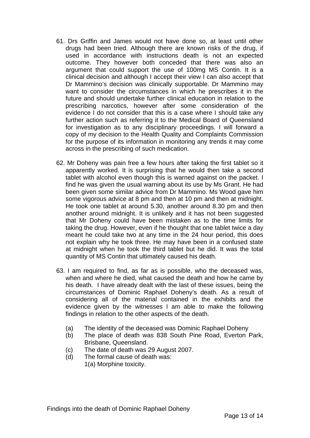- 61. Drs Griffin and James would not have done so, at least until other drugs had been tried. Although there are known risks of the drug, if used in accordance with instructions death is not an expected outcome. They however both conceded that there was also an argument that could support the use of 100mg MS Contin. It is a clinical decision and although I accept their view I can also accept that Dr Mammino's decision was clinically supportable. Dr Mammino may want to consider the circumstances in which he prescribes it in the future and should undertake further clinical education in relation to the prescribing narcotics, however after some consideration of the evidence I do not consider that this is a case where I should take any further action such as referring it to the Medical Board of Queensland for investigation as to any disciplinary proceedings. I will forward a copy of my decision to the Health Quality and Complaints Commission for the purpose of its information in monitoring any trends it may come across in the prescribing of such medication.
- 62. Mr Doheny was pain free a few hours after taking the first tablet so it apparently worked. It is surprising that he would then take a second tablet with alcohol even though this is warned against on the packet. I find he was given the usual warning about its use by Ms Grant. He had been given some similar advice from Dr Mammino. Ms Wood gave him some vigorous advice at 8 pm and then at 10 pm and then at midnight. He took one tablet at around 5.30, another around 8.30 pm and then another around midnight. It is unlikely and it has not been suggested that Mr Doheny could have been mistaken as to the time limits for taking the drug. However, even if he thought that one tablet twice a day meant he could take two at any time in the 24 hour period, this does not explain why he took three. He may have been in a confused state at midnight when he took the third tablet but he did. It was the total quantity of MS Contin that ultimately caused his death.
- 63. I am required to find, as far as is possible, who the deceased was, when and where he died, what caused the death and how he came by his death. I have already dealt with the last of these issues, being the circumstances of Dominic Raphael Doheny's death. As a result of considering all of the material contained in the exhibits and the evidence given by the witnesses I am able to make the following findings in relation to the other aspects of the death.
	- (a) The identity of the deceased was Dominic Raphael Doheny
	- (b) The place of death was 838 South Pine Road, Everton Park, Brisbane, Queensland.
	- (c) The date of death was 29 August 2007.
	- (d) The formal cause of death was:
		- 1(a) Morphine toxicity.